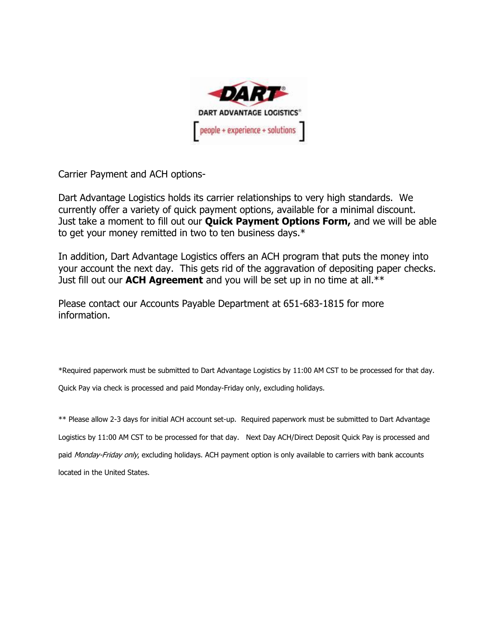

Carrier Payment and ACH options-

Dart Advantage Logistics holds its carrier relationships to very high standards. We currently offer a variety of quick payment options, available for a minimal discount. Just take a moment to fill out our **Quick Payment Options Form,** and we will be able to get your money remitted in two to ten business days.\*

In addition, Dart Advantage Logistics offers an ACH program that puts the money into your account the next day. This gets rid of the aggravation of depositing paper checks. Just fill out our **ACH Agreement** and you will be set up in no time at all.\*\*

Please contact our Accounts Payable Department at 651-683-1815 for more information.

\*Required paperwork must be submitted to Dart Advantage Logistics by 11:00 AM CST to be processed for that day.

Quick Pay via check is processed and paid Monday-Friday only, excluding holidays.

\*\* Please allow 2-3 days for initial ACH account set-up. Required paperwork must be submitted to Dart Advantage Logistics by 11:00 AM CST to be processed for that day. Next Day ACH/Direct Deposit Quick Pay is processed and paid Monday-Friday only, excluding holidays. ACH payment option is only available to carriers with bank accounts located in the United States.